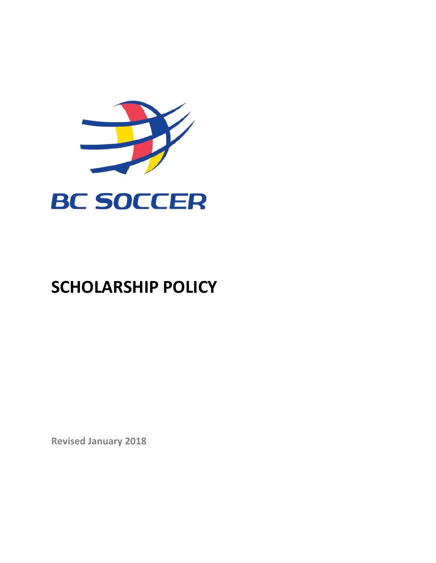

# **SCHOLARSHIP POLICY**

**Revised January 2018**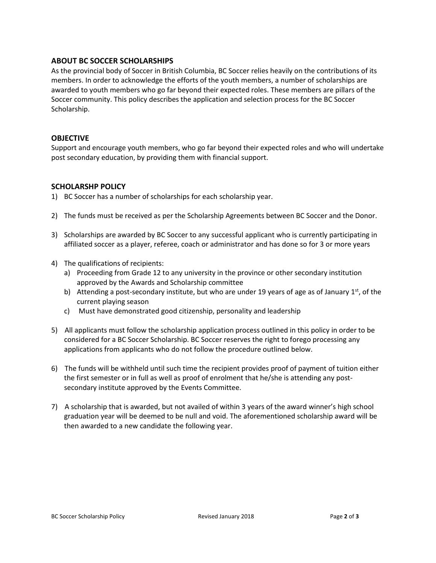## **ABOUT BC SOCCER SCHOLARSHIPS**

As the provincial body of Soccer in British Columbia, BC Soccer relies heavily on the contributions of its members. In order to acknowledge the efforts of the youth members, a number of scholarships are awarded to youth members who go far beyond their expected roles. These members are pillars of the Soccer community. This policy describes the application and selection process for the BC Soccer Scholarship.

### **OBJECTIVE**

Support and encourage youth members, who go far beyond their expected roles and who will undertake post secondary education, by providing them with financial support.

#### **SCHOLARSHP POLICY**

1) BC Soccer has a number of scholarships for each scholarship year.

- 2) The funds must be received as per the Scholarship Agreements between BC Soccer and the Donor.
- 3) Scholarships are awarded by BC Soccer to any successful applicant who is currently participating in affiliated soccer as a player, referee, coach or administrator and has done so for 3 or more years
- 4) The qualifications of recipients:
	- a) Proceeding from Grade 12 to any university in the province or other secondary institution approved by the Awards and Scholarship committee
	- b) Attending a post-secondary institute, but who are under 19 years of age as of January  $1<sup>st</sup>$ , of the current playing season
	- c) Must have demonstrated good citizenship, personality and leadership
- 5) All applicants must follow the scholarship application process outlined in this policy in order to be considered for a BC Soccer Scholarship. BC Soccer reserves the right to forego processing any applications from applicants who do not follow the procedure outlined below.
- 6) The funds will be withheld until such time the recipient provides proof of payment of tuition either the first semester or in full as well as proof of enrolment that he/she is attending any postsecondary institute approved by the Events Committee.
- 7) A scholarship that is awarded, but not availed of within 3 years of the award winner's high school graduation year will be deemed to be null and void. The aforementioned scholarship award will be then awarded to a new candidate the following year.